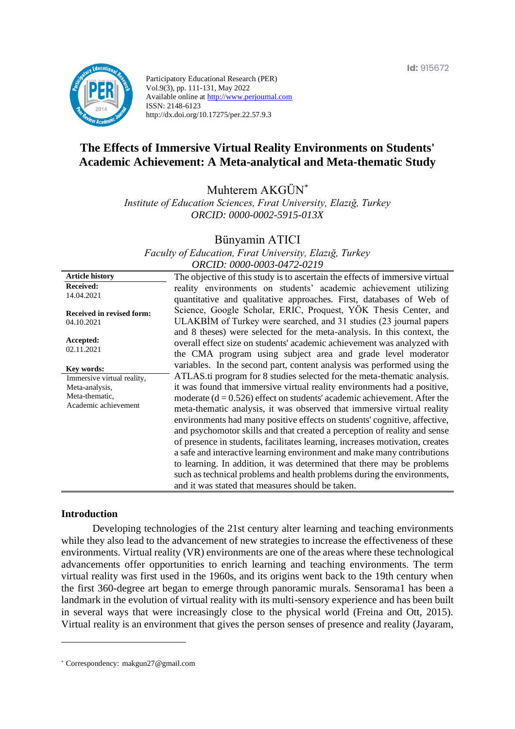

Participatory Educational Research (PER) Vol.9(3), pp. 111-131, May 2022 Available online at http://www.perjournal.com ISSN: 2148-6123 http://dx.doi.org/10.17275/per.22.57.9.3

# **The Effects of Immersive Virtual Reality Environments on Students' Academic Achievement: A Meta-analytical and Meta-thematic Study**

Muhterem AKGÜN\*

*Institute of Education Sciences, Fırat University, Elazığ, Turkey ORCID: 0000-0002-5915-013X*

Bünyamin ATICI

*Faculty of Education, Fırat University, Elazığ, Turkey ORCID: 0000-0003-0472-0219*

**Article history Received:**  14.04.2021 **Received in revised form:**  04.10.2021 **Accepted:** 02.11.2021 The objective of this study is to ascertain the effects of immersive virtual reality environments on students' academic achievement utilizing quantitative and qualitative approaches. First, databases of Web of Science, Google Scholar, ERIC, Proquest, YÖK Thesis Center, and ULAKBİM of Turkey were searched, and 31 studies (23 journal papers and 8 theses) were selected for the meta-analysis. In this context, the overall effect size on students' academic achievement was analyzed with the CMA program using subject area and grade level moderator variables. In the second part, content analysis was performed using the ATLAS.ti program for 8 studies selected for the meta-thematic analysis. it was found that immersive virtual reality environments had a positive, moderate  $(d = 0.526)$  effect on students' academic achievement. After the meta-thematic analysis, it was observed that immersive virtual reality environments had many positive effects on students' cognitive, affective, and psychomotor skills and that created a perception of reality and sense of presence in students, facilitates learning, increases motivation, creates a safe and interactive learning environment and make many contributions to learning. In addition, it was determined that there may be problems such as technical problems and health problems during the environments, and it was stated that measures should be taken. **Key words:** Immersive virtual reality, Meta-analysis, Meta-thematic, Academic achievement

### **Introduction**

Developing technologies of the 21st century alter learning and teaching environments while they also lead to the advancement of new strategies to increase the effectiveness of these environments. Virtual reality (VR) environments are one of the areas where these technological advancements offer opportunities to enrich learning and teaching environments. The term virtual reality was first used in the 1960s, and its origins went back to the 19th century when the first 360-degree art began to emerge through panoramic murals. Sensorama1 has been a landmark in the evolution of virtual reality with its multi-sensory experience and has been built in several ways that were increasingly close to the physical world (Freina and Ott, 2015). Virtual reality is an environment that gives the person senses of presence and reality (Jayaram,

<sup>\*</sup> [Correspondency:](mailto:Correspondency:) makgun27@gmail.com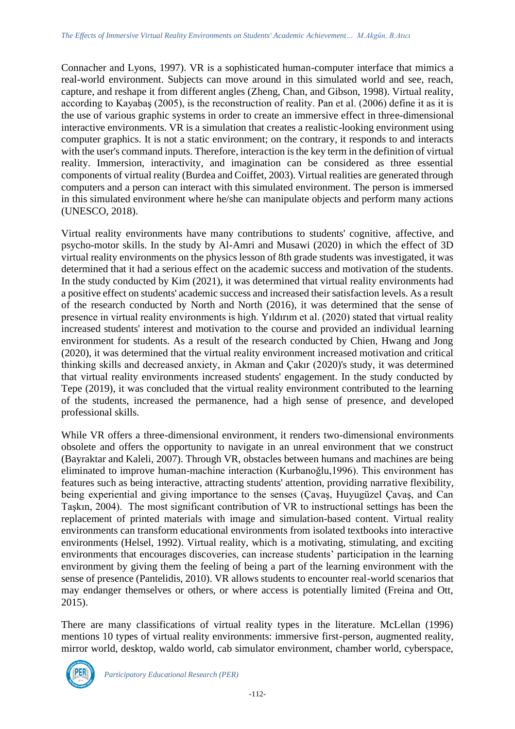Connacher and Lyons, 1997). VR is a sophisticated human-computer interface that mimics a real-world environment. Subjects can move around in this simulated world and see, reach, capture, and reshape it from different angles (Zheng, Chan, and Gibson, 1998). Virtual reality, according to Kayabaş (2005), is the reconstruction of reality. Pan et al. (2006) define it as it is the use of various graphic systems in order to create an immersive effect in three-dimensional interactive environments. VR is a simulation that creates a realistic-looking environment using computer graphics. It is not a static environment; on the contrary, it responds to and interacts with the user's command inputs. Therefore, interaction is the key term in the definition of virtual reality. Immersion, interactivity, and imagination can be considered as three essential components of virtual reality (Burdea and Coiffet, 2003). Virtual realities are generated through computers and a person can interact with this simulated environment. The person is immersed in this simulated environment where he/she can manipulate objects and perform many actions (UNESCO, 2018).

Virtual reality environments have many contributions to students' cognitive, affective, and psycho-motor skills. In the study by Al-Amri and Musawi (2020) in which the effect of 3D virtual reality environments on the physics lesson of 8th grade students was investigated, it was determined that it had a serious effect on the academic success and motivation of the students. In the study conducted by Kim (2021), it was determined that virtual reality environments had a positive effect on students' academic success and increased their satisfaction levels. As a result of the research conducted by North and North (2016), it was determined that the sense of presence in virtual reality environments is high. Yıldırım et al. (2020) stated that virtual reality increased students' interest and motivation to the course and provided an individual learning environment for students. As a result of the research conducted by Chien, Hwang and Jong (2020), it was determined that the virtual reality environment increased motivation and critical thinking skills and decreased anxiety, in Akman and Çakır (2020)'s study, it was determined that virtual reality environments increased students' engagement. In the study conducted by Tepe (2019), it was concluded that the virtual reality environment contributed to the learning of the students, increased the permanence, had a high sense of presence, and developed professional skills.

While VR offers a three-dimensional environment, it renders two-dimensional environments obsolete and offers the opportunity to navigate in an unreal environment that we construct (Bayraktar and Kaleli, 2007). Through VR, obstacles between humans and machines are being eliminated to improve human-machine interaction (Kurbanoğlu,1996). This environment has features such as being interactive, attracting students' attention, providing narrative flexibility, being experiential and giving importance to the senses (Çavaş, Huyugüzel Çavaş, and Can Taşkın, 2004). The most significant contribution of VR to instructional settings has been the replacement of printed materials with image and simulation-based content. Virtual reality environments can transform educational environments from isolated textbooks into interactive environments (Helsel, 1992). Virtual reality, which is a motivating, stimulating, and exciting environments that encourages discoveries, can increase students' participation in the learning environment by giving them the feeling of being a part of the learning environment with the sense of presence (Pantelidis, 2010). VR allows students to encounter real-world scenarios that may endanger themselves or others, or where access is potentially limited (Freina and Ott, 2015).

There are many classifications of virtual reality types in the literature. McLellan (1996) mentions 10 types of virtual reality environments: immersive first-person, augmented reality, mirror world, desktop, waldo world, cab simulator environment, chamber world, cyberspace,

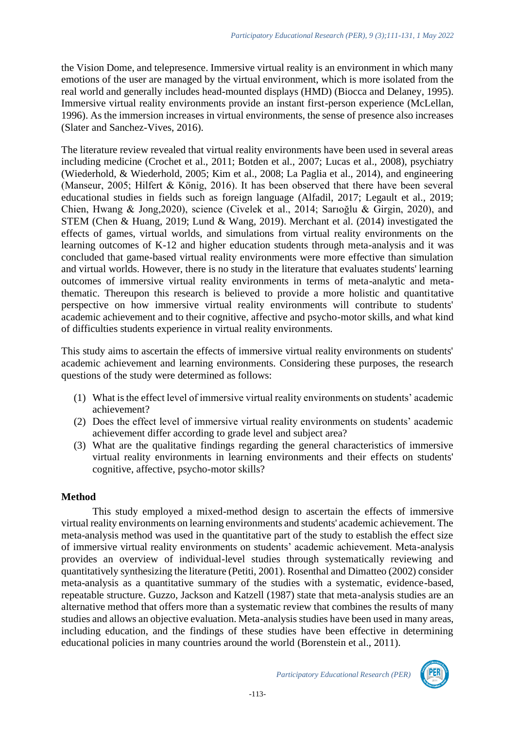the Vision Dome, and telepresence. Immersive virtual reality is an environment in which many emotions of the user are managed by the virtual environment, which is more isolated from the real world and generally includes head-mounted displays (HMD) (Biocca and Delaney, 1995). Immersive virtual reality environments provide an instant first-person experience (McLellan, 1996). As the immersion increases in virtual environments, the sense of presence also increases (Slater and Sanchez-Vives, 2016).

The literature review revealed that virtual reality environments have been used in several areas including medicine (Crochet et al., 2011; Botden et al., 2007; Lucas et al., 2008), psychiatry (Wiederhold, & Wiederhold, 2005; Kim et al., 2008; La Paglia et al., 2014), and engineering (Manseur, 2005; Hilfert & König, 2016). It has been observed that there have been several educational studies in fields such as foreign language (Alfadil, 2017; Legault et al., 2019; Chien, Hwang & Jong,2020), science (Civelek et al., 2014; Sarıoğlu & Girgin, 2020), and STEM (Chen & Huang, 2019; Lund & Wang, 2019). Merchant et al. (2014) investigated the effects of games, virtual worlds, and simulations from virtual reality environments on the learning outcomes of K-12 and higher education students through meta-analysis and it was concluded that game-based virtual reality environments were more effective than simulation and virtual worlds. However, there is no study in the literature that evaluates students' learning outcomes of immersive virtual reality environments in terms of meta-analytic and metathematic. Thereupon this research is believed to provide a more holistic and quantitative perspective on how immersive virtual reality environments will contribute to students' academic achievement and to their cognitive, affective and psycho-motor skills, and what kind of difficulties students experience in virtual reality environments.

This study aims to ascertain the effects of immersive virtual reality environments on students' academic achievement and learning environments. Considering these purposes, the research questions of the study were determined as follows:

- (1) What is the effect level of immersive virtual reality environments on students' academic achievement?
- (2) Does the effect level of immersive virtual reality environments on students' academic achievement differ according to grade level and subject area?
- (3) What are the qualitative findings regarding the general characteristics of immersive virtual reality environments in learning environments and their effects on students' cognitive, affective, psycho-motor skills?

### **Method**

This study employed a mixed-method design to ascertain the effects of immersive virtual reality environments on learning environments and students' academic achievement. The meta-analysis method was used in the quantitative part of the study to establish the effect size of immersive virtual reality environments on students' academic achievement. Meta-analysis provides an overview of individual-level studies through systematically reviewing and quantitatively synthesizing the literature (Petiti, 2001). Rosenthal and Dimatteo (2002) consider meta-analysis as a quantitative summary of the studies with a systematic, evidence-based, repeatable structure. Guzzo, Jackson and Katzell (1987) state that meta-analysis studies are an alternative method that offers more than a systematic review that combines the results of many studies and allows an objective evaluation. Meta-analysis studies have been used in many areas, including education, and the findings of these studies have been effective in determining educational policies in many countries around the world (Borenstein et al., 2011).

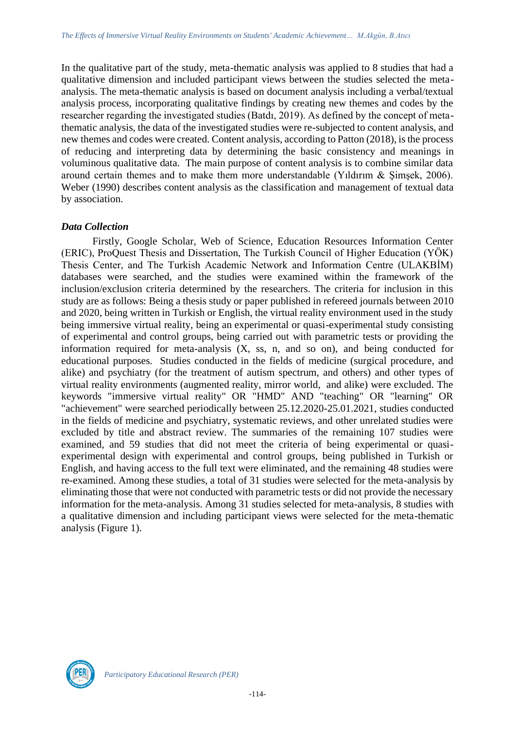In the qualitative part of the study, meta-thematic analysis was applied to 8 studies that had a qualitative dimension and included participant views between the studies selected the metaanalysis. The meta-thematic analysis is based on document analysis including a verbal/textual analysis process, incorporating qualitative findings by creating new themes and codes by the researcher regarding the investigated studies (Batdı, 2019). As defined by the concept of metathematic analysis, the data of the investigated studies were re-subjected to content analysis, and new themes and codes were created. Content analysis, according to Patton (2018), is the process of reducing and interpreting data by determining the basic consistency and meanings in voluminous qualitative data. The main purpose of content analysis is to combine similar data around certain themes and to make them more understandable (Yıldırım & Şimşek, 2006). Weber (1990) describes content analysis as the classification and management of textual data by association.

### *Data Collection*

Firstly, Google Scholar, Web of Science, Education Resources Information Center (ERIC), ProQuest Thesis and Dissertation, The Turkish Council of Higher Education (YÖK) Thesis Center, and The Turkish Academic Network and Information Centre (ULAKBİM) databases were searched, and the studies were examined within the framework of the inclusion/exclusion criteria determined by the researchers. The criteria for inclusion in this study are as follows: Being a thesis study or paper published in refereed journals between 2010 and 2020, being written in Turkish or English, the virtual reality environment used in the study being immersive virtual reality, being an experimental or quasi-experimental study consisting of experimental and control groups, being carried out with parametric tests or providing the information required for meta-analysis (X, ss, n, and so on), and being conducted for educational purposes. Studies conducted in the fields of medicine (surgical procedure, and alike) and psychiatry (for the treatment of autism spectrum, and others) and other types of virtual reality environments (augmented reality, mirror world, and alike) were excluded. The keywords "immersive virtual reality" OR "HMD" AND "teaching" OR "learning" OR "achievement" were searched periodically between 25.12.2020-25.01.2021, studies conducted in the fields of medicine and psychiatry, systematic reviews, and other unrelated studies were excluded by title and abstract review. The summaries of the remaining 107 studies were examined, and 59 studies that did not meet the criteria of being experimental or quasiexperimental design with experimental and control groups, being published in Turkish or English, and having access to the full text were eliminated, and the remaining 48 studies were re-examined. Among these studies, a total of 31 studies were selected for the meta-analysis by eliminating those that were not conducted with parametric tests or did not provide the necessary information for the meta-analysis. Among 31 studies selected for meta-analysis, 8 studies with a qualitative dimension and including participant views were selected for the meta-thematic analysis (Figure 1).

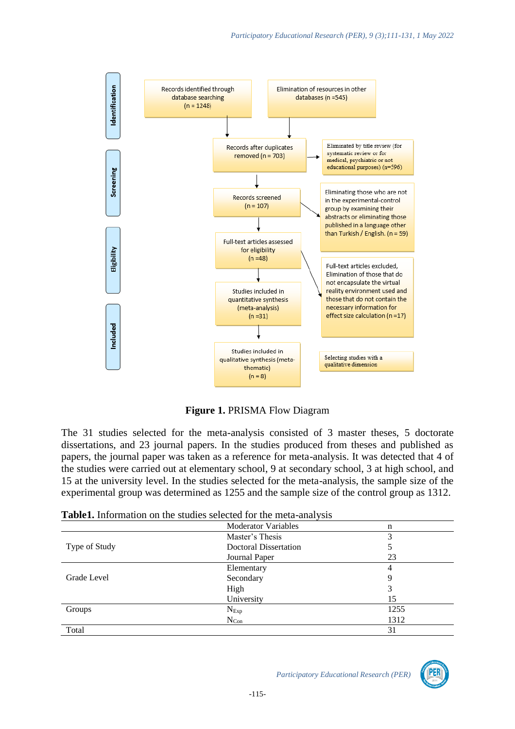

**Figure 1.** PRISMA Flow Diagram

The 31 studies selected for the meta-analysis consisted of 3 master theses, 5 doctorate dissertations, and 23 journal papers. In the studies produced from theses and published as papers, the journal paper was taken as a reference for meta-analysis. It was detected that 4 of the studies were carried out at elementary school, 9 at secondary school, 3 at high school, and 15 at the university level. In the studies selected for the meta-analysis, the sample size of the experimental group was determined as 1255 and the sample size of the control group as 1312.

|               | <b>Moderator Variables</b> | n    |
|---------------|----------------------------|------|
|               | Master's Thesis            | 3    |
| Type of Study | Doctoral Dissertation      |      |
|               | Journal Paper              | 23   |
|               | Elementary                 | 4    |
| Grade Level   | Secondary                  |      |
|               | High                       | 3    |
|               | University                 | 15   |
| Groups        | $N_{Exp}$                  | 1255 |
|               | $N_{Con}$                  | 1312 |
| Total         |                            | 31   |

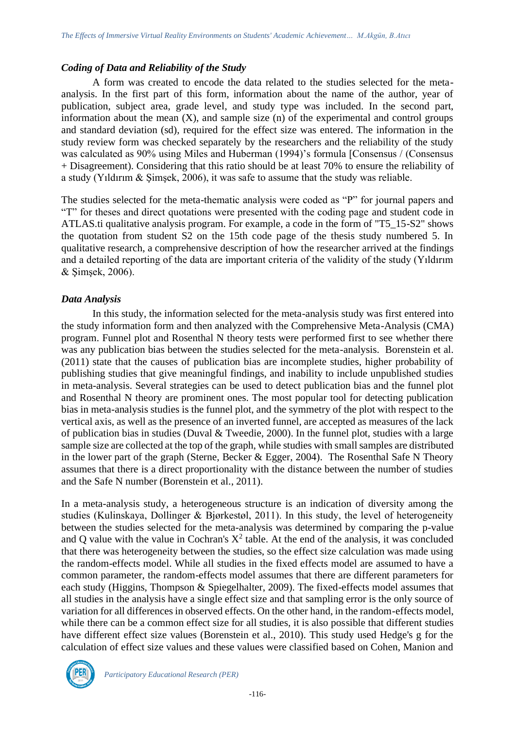### *Coding of Data and Reliability of the Study*

A form was created to encode the data related to the studies selected for the metaanalysis. In the first part of this form, information about the name of the author, year of publication, subject area, grade level, and study type was included. In the second part, information about the mean  $(X)$ , and sample size  $(n)$  of the experimental and control groups and standard deviation (sd), required for the effect size was entered. The information in the study review form was checked separately by the researchers and the reliability of the study was calculated as 90% using Miles and Huberman (1994)'s formula [Consensus / (Consensus + Disagreement). Considering that this ratio should be at least 70% to ensure the reliability of a study (Yıldırım & Şimşek, 2006), it was safe to assume that the study was reliable.

The studies selected for the meta-thematic analysis were coded as "P" for journal papers and "T" for theses and direct quotations were presented with the coding page and student code in ATLAS.ti qualitative analysis program. For example, a code in the form of "T5\_15-S2" shows the quotation from student S2 on the 15th code page of the thesis study numbered 5. In qualitative research, a comprehensive description of how the researcher arrived at the findings and a detailed reporting of the data are important criteria of the validity of the study (Yıldırım & Şimşek, 2006).

# *Data Analysis*

In this study, the information selected for the meta-analysis study was first entered into the study information form and then analyzed with the Comprehensive Meta-Analysis (CMA) program. Funnel plot and Rosenthal N theory tests were performed first to see whether there was any publication bias between the studies selected for the meta-analysis. Borenstein et al. (2011) state that the causes of publication bias are incomplete studies, higher probability of publishing studies that give meaningful findings, and inability to include unpublished studies in meta-analysis. Several strategies can be used to detect publication bias and the funnel plot and Rosenthal N theory are prominent ones. The most popular tool for detecting publication bias in meta-analysis studies is the funnel plot, and the symmetry of the plot with respect to the vertical axis, as well as the presence of an inverted funnel, are accepted as measures of the lack of publication bias in studies (Duval & Tweedie, 2000). In the funnel plot, studies with a large sample size are collected at the top of the graph, while studies with small samples are distributed in the lower part of the graph (Sterne, Becker & Egger, 2004). The Rosenthal Safe N Theory assumes that there is a direct proportionality with the distance between the number of studies and the Safe N number (Borenstein et al., 2011).

In a meta-analysis study, a heterogeneous structure is an indication of diversity among the studies (Kulinskaya, Dollinger & Bjørkestøl, 2011). In this study, the level of heterogeneity between the studies selected for the meta-analysis was determined by comparing the p-value and Q value with the value in Cochran's  $X^2$  table. At the end of the analysis, it was concluded that there was heterogeneity between the studies, so the effect size calculation was made using the random-effects model. While all studies in the fixed effects model are assumed to have a common parameter, the random-effects model assumes that there are different parameters for each study (Higgins, Thompson & Spiegelhalter, 2009). The fixed-effects model assumes that all studies in the analysis have a single effect size and that sampling error is the only source of variation for all differences in observed effects. On the other hand, in the random-effects model, while there can be a common effect size for all studies, it is also possible that different studies have different effect size values (Borenstein et al., 2010). This study used Hedge's g for the calculation of effect size values and these values were classified based on Cohen, Manion and

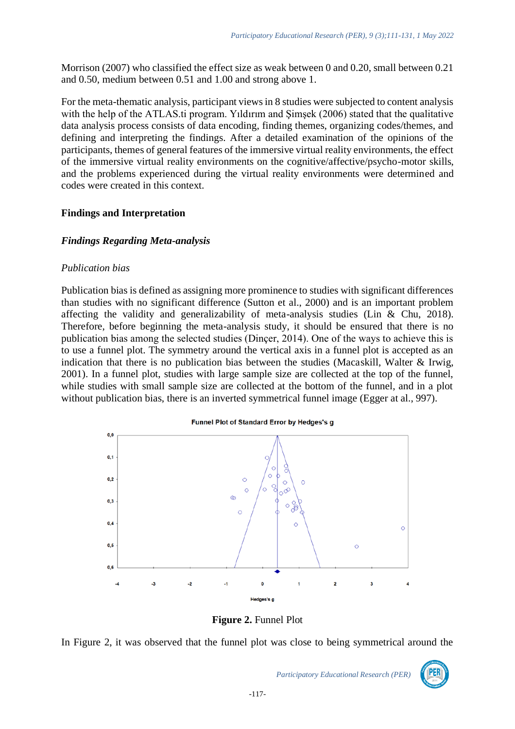Morrison (2007) who classified the effect size as weak between 0 and 0.20, small between 0.21 and 0.50, medium between 0.51 and 1.00 and strong above 1.

For the meta-thematic analysis, participant views in 8 studies were subjected to content analysis with the help of the ATLAS.ti program. Yildirim and Simsek (2006) stated that the qualitative data analysis process consists of data encoding, finding themes, organizing codes/themes, and defining and interpreting the findings. After a detailed examination of the opinions of the participants, themes of general features of the immersive virtual reality environments, the effect of the immersive virtual reality environments on the cognitive/affective/psycho-motor skills, and the problems experienced during the virtual reality environments were determined and codes were created in this context.

# **Findings and Interpretation**

### *Findings Regarding Meta-analysis*

### *Publication bias*

Publication bias is defined as assigning more prominence to studies with significant differences than studies with no significant difference (Sutton et al., 2000) and is an important problem affecting the validity and generalizability of meta-analysis studies (Lin & Chu, 2018). Therefore, before beginning the meta-analysis study, it should be ensured that there is no publication bias among the selected studies (Dinçer, 2014). One of the ways to achieve this is to use a funnel plot. The symmetry around the vertical axis in a funnel plot is accepted as an indication that there is no publication bias between the studies (Macaskill, Walter & Irwig, 2001). In a funnel plot, studies with large sample size are collected at the top of the funnel, while studies with small sample size are collected at the bottom of the funnel, and in a plot without publication bias, there is an inverted symmetrical funnel image (Egger at al., 997).

#### Funnel Plot of Standard Error by Hedges's g



**Figure 2.** Funnel Plot

In Figure 2, it was observed that the funnel plot was close to being symmetrical around the

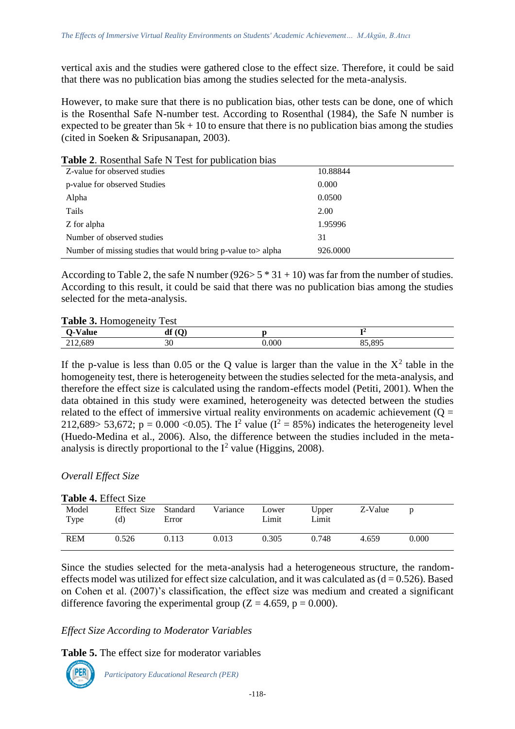vertical axis and the studies were gathered close to the effect size. Therefore, it could be said that there was no publication bias among the studies selected for the meta-analysis.

However, to make sure that there is no publication bias, other tests can be done, one of which is the Rosenthal Safe N-number test. According to Rosenthal (1984), the Safe N number is expected to be greater than  $5k + 10$  to ensure that there is no publication bias among the studies (cited in Soeken & Sripusanapan, 2003).

| <b>Table 2.</b> Rosenthal Safe N Test for publication blas  |          |
|-------------------------------------------------------------|----------|
| Z-value for observed studies                                | 10.88844 |
| p-value for observed Studies                                | 0.000    |
| Alpha                                                       | 0.0500   |
| Tails                                                       | 2.00     |
| Z for alpha                                                 | 1.95996  |
| Number of observed studies                                  | 31       |
| Number of missing studies that would bring p-value to alpha | 926.0000 |

**Table 2**. Rosenthal Safe N Test for publication bias

According to Table 2, the safe N number (926>  $5 * 31 + 10$ ) was far from the number of studies. According to this result, it could be said that there was no publication bias among the studies selected for the meta-analysis.

### **Table 3.** Homogeneity Test

| $\sim$  |                    |       |     |  |  |  |
|---------|--------------------|-------|-----|--|--|--|
|         | $\mathbf{r}$<br>αı |       |     |  |  |  |
| 212,689 | <u>^ ^ </u><br>υU  | 0.000 | 00r |  |  |  |

If the p-value is less than 0.05 or the Q value is larger than the value in the  $X^2$  table in the homogeneity test, there is heterogeneity between the studies selected for the meta-analysis, and therefore the effect size is calculated using the random-effects model (Petiti, 2001). When the data obtained in this study were examined, heterogeneity was detected between the studies related to the effect of immersive virtual reality environments on academic achievement ( $Q =$ 212,689> 53,672; p = 0.000 < 0.05). The  $I^2$  value ( $I^2 = 85\%$ ) indicates the heterogeneity level (Huedo-Medina et al., 2006). Also, the difference between the studies included in the metaanalysis is directly proportional to the  $I^2$  value (Higgins, 2008).

# *Overall Effect Size*

**Table 4. Table 4. Table 4.** 

| Table 4. Effect Size |                             |       |          |                |                |         |       |  |
|----------------------|-----------------------------|-------|----------|----------------|----------------|---------|-------|--|
| Model<br>Type        | Effect Size Standard<br>(d) | Error | Variance | Lower<br>Limit | Upper<br>Limit | Z-Value |       |  |
| <b>REM</b>           | 0.526                       | 0.113 | 0.013    | 0.305          | 0.748          | 4.659   | 0.000 |  |

Since the studies selected for the meta-analysis had a heterogeneous structure, the randomeffects model was utilized for effect size calculation, and it was calculated as  $(d = 0.526)$ . Based on Cohen et al. (2007)'s classification, the effect size was medium and created a significant difference favoring the experimental group  $(Z = 4.659, p = 0.000)$ .

# *Effect Size According to Moderator Variables*

**Table 5.** The effect size for moderator variables

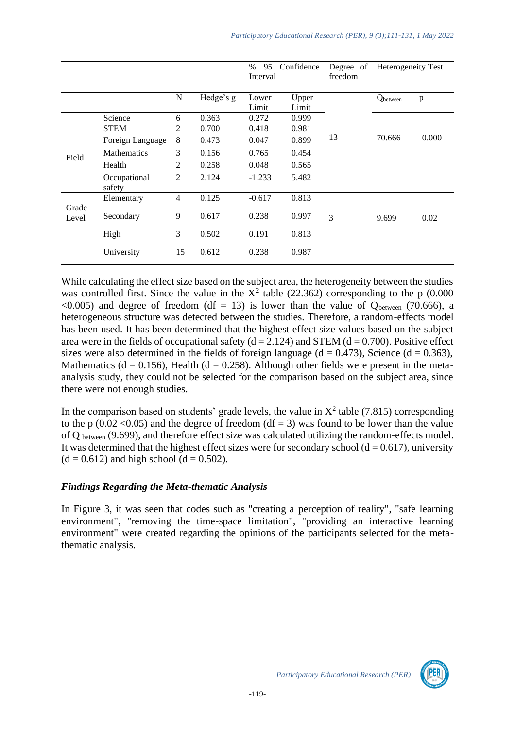|                |                                                                                                      |                                                      |                                                    | $\%$<br>Confidence<br>95<br>Interval                  |                                                    | Degree of | Heterogeneity Test |       |
|----------------|------------------------------------------------------------------------------------------------------|------------------------------------------------------|----------------------------------------------------|-------------------------------------------------------|----------------------------------------------------|-----------|--------------------|-------|
|                |                                                                                                      |                                                      |                                                    |                                                       |                                                    | freedom   |                    |       |
|                |                                                                                                      | N                                                    | Hedge's g                                          | Lower<br>Limit                                        | Upper<br>Limit                                     |           | Qbetween           | p     |
| Field          | Science<br><b>STEM</b><br>Foreign Language<br><b>Mathematics</b><br>Health<br>Occupational<br>safety | 6<br>2<br>8<br>3<br>$\overline{2}$<br>$\overline{2}$ | 0.363<br>0.700<br>0.473<br>0.156<br>0.258<br>2.124 | 0.272<br>0.418<br>0.047<br>0.765<br>0.048<br>$-1.233$ | 0.999<br>0.981<br>0.899<br>0.454<br>0.565<br>5.482 | 13        | 70.666             | 0.000 |
| Grade<br>Level | Elementary<br>Secondary                                                                              | $\overline{4}$<br>9                                  | 0.125<br>0.617                                     | $-0.617$<br>0.238                                     | 0.813<br>0.997                                     | 3         | 9.699              | 0.02  |
|                | High<br>University                                                                                   | 3<br>15                                              | 0.502<br>0.612                                     | 0.191<br>0.238                                        | 0.813<br>0.987                                     |           |                    |       |

While calculating the effect size based on the subject area, the heterogeneity between the studies was controlled first. Since the value in the  $X^2$  table (22.362) corresponding to the p (0.000  $\langle 0.005 \rangle$  and degree of freedom (df = 13) is lower than the value of  $Q_{between}$  (70.666), a heterogeneous structure was detected between the studies. Therefore, a random-effects model has been used. It has been determined that the highest effect size values based on the subject area were in the fields of occupational safety ( $d = 2.124$ ) and STEM ( $d = 0.700$ ). Positive effect sizes were also determined in the fields of foreign language ( $d = 0.473$ ), Science ( $d = 0.363$ ), Mathematics (d = 0.156), Health (d = 0.258). Although other fields were present in the metaanalysis study, they could not be selected for the comparison based on the subject area, since there were not enough studies.

In the comparison based on students' grade levels, the value in  $X^2$  table (7.815) corresponding to the p (0.02 < 0.05) and the degree of freedom (df = 3) was found to be lower than the value of Q between (9.699), and therefore effect size was calculated utilizing the random-effects model. It was determined that the highest effect sizes were for secondary school ( $d = 0.617$ ), university  $(d = 0.612)$  and high school  $(d = 0.502)$ .

### *Findings Regarding the Meta-thematic Analysis*

In Figure 3, it was seen that codes such as "creating a perception of reality", "safe learning environment", "removing the time-space limitation", "providing an interactive learning environment" were created regarding the opinions of the participants selected for the metathematic analysis.

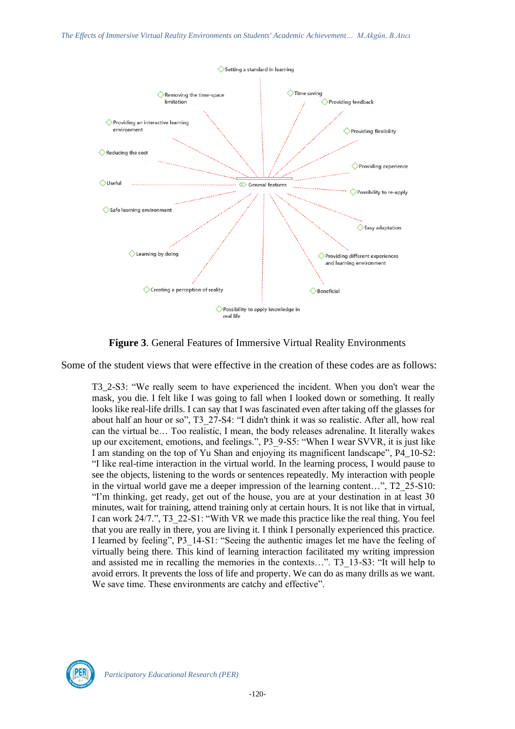

**Figure 3**. General Features of Immersive Virtual Reality Environments

Some of the student views that were effective in the creation of these codes are as follows:

T3\_2-S3: "We really seem to have experienced the incident. When you don't wear the mask, you die. I felt like I was going to fall when I looked down or something. It really looks like real-life drills. I can say that I was fascinated even after taking off the glasses for about half an hour or so", T3\_27-S4: "I didn't think it was so realistic. After all, how real can the virtual be… Too realistic, I mean, the body releases adrenaline. It literally wakes up our excitement, emotions, and feelings.", P3\_9-S5: "When I wear SVVR, it is just like I am standing on the top of Yu Shan and enjoying its magnificent landscape", P4\_10-S2: "I like real-time interaction in the virtual world. In the learning process, I would pause to see the objects, listening to the words or sentences repeatedly. My interaction with people in the virtual world gave me a deeper impression of the learning content...", T2\_25-S10: "I'm thinking, get ready, get out of the house, you are at your destination in at least 30 minutes, wait for training, attend training only at certain hours. It is not like that in virtual, I can work 24/7.", T3\_22-S1: "With VR we made this practice like the real thing. You feel that you are really in there, you are living it. I think I personally experienced this practice. I learned by feeling", P3\_14-S1: "Seeing the authentic images let me have the feeling of virtually being there. This kind of learning interaction facilitated my writing impression and assisted me in recalling the memories in the contexts...". T3\_13-S3: "It will help to avoid errors. It prevents the loss of life and property. We can do as many drills as we want. We save time. These environments are catchy and effective".

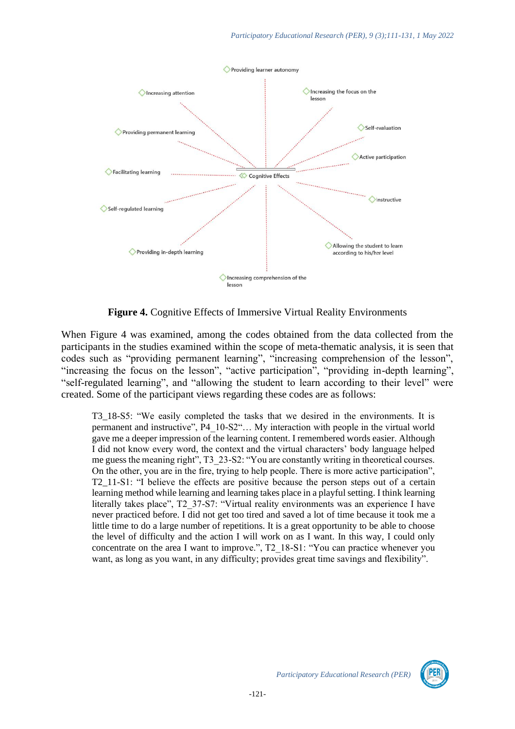

**Figure 4.** Cognitive Effects of Immersive Virtual Reality Environments

When Figure 4 was examined, among the codes obtained from the data collected from the participants in the studies examined within the scope of meta-thematic analysis, it is seen that codes such as "providing permanent learning", "increasing comprehension of the lesson", "increasing the focus on the lesson", "active participation", "providing in-depth learning", "self-regulated learning", and "allowing the student to learn according to their level" were created. Some of the participant views regarding these codes are as follows:

T3\_18-S5: "We easily completed the tasks that we desired in the environments. It is permanent and instructive", P4\_10-S2"… My interaction with people in the virtual world gave me a deeper impression of the learning content. I remembered words easier. Although I did not know every word, the context and the virtual characters' body language helped me guess the meaning right", T3\_23-S2: "You are constantly writing in theoretical courses. On the other, you are in the fire, trying to help people. There is more active participation", T2\_11-S1: "I believe the effects are positive because the person steps out of a certain learning method while learning and learning takes place in a playful setting. I think learning literally takes place", T2\_37-S7: "Virtual reality environments was an experience I have never practiced before. I did not get too tired and saved a lot of time because it took me a little time to do a large number of repetitions. It is a great opportunity to be able to choose the level of difficulty and the action I will work on as I want. In this way, I could only concentrate on the area I want to improve.", T2\_18-S1: "You can practice whenever you want, as long as you want, in any difficulty; provides great time savings and flexibility".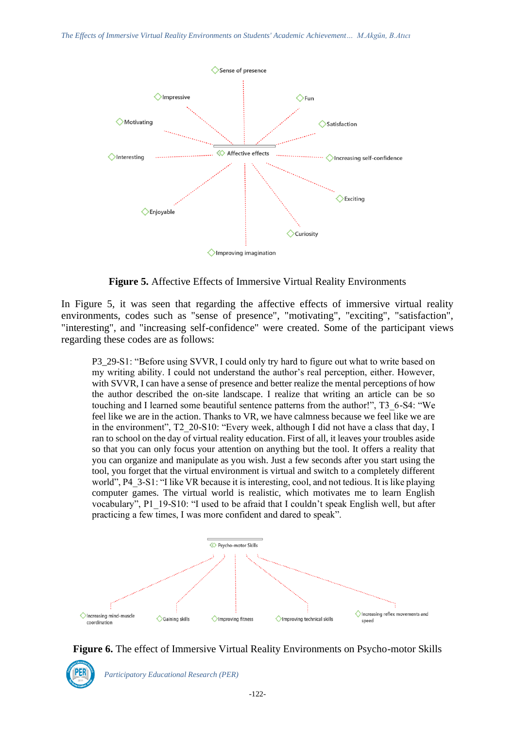

**Figure 5.** Affective Effects of Immersive Virtual Reality Environments

In Figure 5, it was seen that regarding the affective effects of immersive virtual reality environments, codes such as "sense of presence", "motivating", "exciting", "satisfaction", "interesting", and "increasing self-confidence" were created. Some of the participant views regarding these codes are as follows:

P3\_29-S1: "Before using SVVR, I could only try hard to figure out what to write based on my writing ability. I could not understand the author's real perception, either. However, with SVVR, I can have a sense of presence and better realize the mental perceptions of how the author described the on-site landscape. I realize that writing an article can be so touching and I learned some beautiful sentence patterns from the author!", T3\_6-S4: "We feel like we are in the action. Thanks to VR, we have calmness because we feel like we are in the environment", T2\_20-S10: "Every week, although I did not have a class that day, I ran to school on the day of virtual reality education. First of all, it leaves your troubles aside so that you can only focus your attention on anything but the tool. It offers a reality that you can organize and manipulate as you wish. Just a few seconds after you start using the tool, you forget that the virtual environment is virtual and switch to a completely different world", P4\_3-S1: "I like VR because it is interesting, cool, and not tedious. It is like playing computer games. The virtual world is realistic, which motivates me to learn English vocabulary", P1\_19-S10: "I used to be afraid that I couldn't speak English well, but after practicing a few times, I was more confident and dared to speak".



**Figure 6.** The effect of Immersive Virtual Reality Environments on Psycho-motor Skills

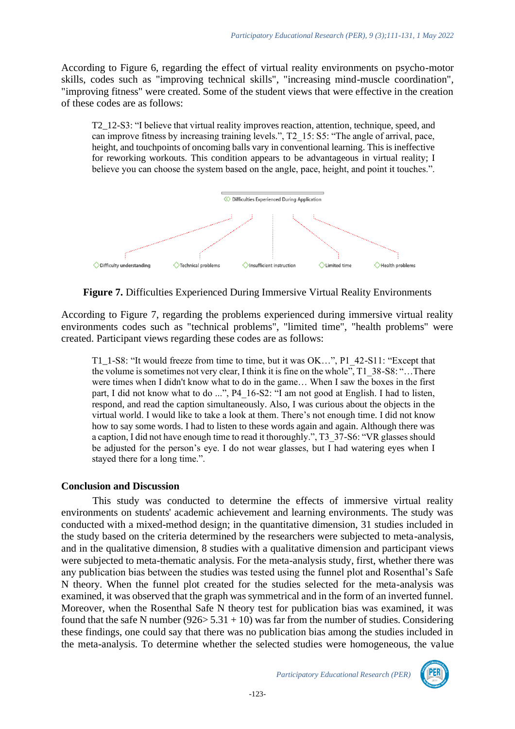According to Figure 6, regarding the effect of virtual reality environments on psycho-motor skills, codes such as "improving technical skills", "increasing mind-muscle coordination", "improving fitness" were created. Some of the student views that were effective in the creation of these codes are as follows:

T2\_12-S3: "I believe that virtual reality improves reaction, attention, technique, speed, and can improve fitness by increasing training levels.", T2\_15: S5: "The angle of arrival, pace, height, and touchpoints of oncoming balls vary in conventional learning. This is ineffective for reworking workouts. This condition appears to be advantageous in virtual reality; I believe you can choose the system based on the angle, pace, height, and point it touches.".



**Figure 7.** Difficulties Experienced During Immersive Virtual Reality Environments

According to Figure 7, regarding the problems experienced during immersive virtual reality environments codes such as "technical problems", "limited time", "health problems" were created. Participant views regarding these codes are as follows:

T1\_1-S8: "It would freeze from time to time, but it was OK…", P1\_42-S11: "Except that the volume is sometimes not very clear, I think it is fine on the whole", T1\_38-S8: "…There were times when I didn't know what to do in the game… When I saw the boxes in the first part, I did not know what to do ...", P4\_16-S2: "I am not good at English. I had to listen, respond, and read the caption simultaneously. Also, I was curious about the objects in the virtual world. I would like to take a look at them. There's not enough time. I did not know how to say some words. I had to listen to these words again and again. Although there was a caption, I did not have enough time to read it thoroughly.", T3\_37-S6: "VR glasses should be adjusted for the person's eye. I do not wear glasses, but I had watering eyes when I stayed there for a long time.".

# **Conclusion and Discussion**

This study was conducted to determine the effects of immersive virtual reality environments on students' academic achievement and learning environments. The study was conducted with a mixed-method design; in the quantitative dimension, 31 studies included in the study based on the criteria determined by the researchers were subjected to meta-analysis, and in the qualitative dimension, 8 studies with a qualitative dimension and participant views were subjected to meta-thematic analysis. For the meta-analysis study, first, whether there was any publication bias between the studies was tested using the funnel plot and Rosenthal's Safe N theory. When the funnel plot created for the studies selected for the meta-analysis was examined, it was observed that the graph was symmetrical and in the form of an inverted funnel. Moreover, when the Rosenthal Safe N theory test for publication bias was examined, it was found that the safe N number ( $926 > 5.31 + 10$ ) was far from the number of studies. Considering these findings, one could say that there was no publication bias among the studies included in the meta-analysis. To determine whether the selected studies were homogeneous, the value

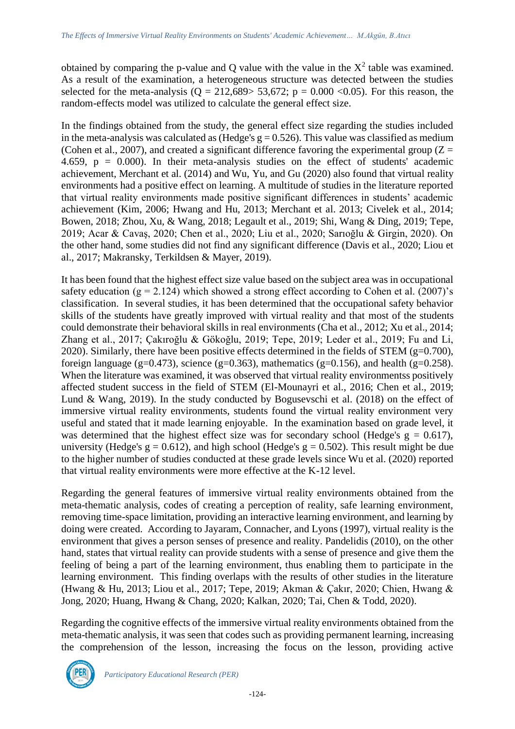obtained by comparing the p-value and Q value with the value in the  $X^2$  table was examined. As a result of the examination, a heterogeneous structure was detected between the studies selected for the meta-analysis ( $Q = 212,689 > 53,672$ ;  $p = 0.000 < 0.05$ ). For this reason, the random-effects model was utilized to calculate the general effect size.

In the findings obtained from the study, the general effect size regarding the studies included in the meta-analysis was calculated as (Hedge's  $g = 0.526$ ). This value was classified as medium (Cohen et al., 2007), and created a significant difference favoring the experimental group  $(Z =$ 4.659,  $p = 0.000$ . In their meta-analysis studies on the effect of students' academic achievement, Merchant et al. (2014) and Wu, Yu, and Gu (2020) also found that virtual reality environments had a positive effect on learning. A multitude of studies in the literature reported that virtual reality environments made positive significant differences in students' academic achievement (Kim, 2006; Hwang and Hu, 2013; Merchant et al. 2013; Civelek et al., 2014; Bowen, 2018; Zhou, Xu, & Wang, 2018; Legault et al., 2019; Shi, Wang & Ding, 2019; Tepe, 2019; Acar & Cavaş, 2020; Chen et al., 2020; Liu et al., 2020; Sarıoğlu & Girgin, 2020). On the other hand, some studies did not find any significant difference (Davis et al., 2020; Liou et al., 2017; Makransky, Terkildsen & Mayer, 2019).

It has been found that the highest effect size value based on the subject area was in occupational safety education ( $g = 2.124$ ) which showed a strong effect according to Cohen et al. (2007)'s classification. In several studies, it has been determined that the occupational safety behavior skills of the students have greatly improved with virtual reality and that most of the students could demonstrate their behavioral skills in real environments (Cha et al., 2012; Xu et al., 2014; Zhang et al., 2017; Çakıroğlu & Gökoğlu, 2019; Tepe, 2019; Leder et al., 2019; Fu and Li, 2020). Similarly, there have been positive effects determined in the fields of STEM ( $g=0.700$ ), foreign language (g=0.473), science (g=0.363), mathematics (g=0.156), and health (g=0.258). When the literature was examined, it was observed that virtual reality environmentss positively affected student success in the field of STEM (El-Mounayri et al., 2016; Chen et al., 2019; Lund & Wang, 2019). In the study conducted by Bogusevschi et al. (2018) on the effect of immersive virtual reality environments, students found the virtual reality environment very useful and stated that it made learning enjoyable. In the examination based on grade level, it was determined that the highest effect size was for secondary school (Hedge's  $g = 0.617$ ), university (Hedge's  $g = 0.612$ ), and high school (Hedge's  $g = 0.502$ ). This result might be due to the higher number of studies conducted at these grade levels since Wu et al. (2020) reported that virtual reality environments were more effective at the K-12 level.

Regarding the general features of immersive virtual reality environments obtained from the meta-thematic analysis, codes of creating a perception of reality, safe learning environment, removing time-space limitation, providing an interactive learning environment, and learning by doing were created. According to Jayaram, Connacher, and Lyons (1997), virtual reality is the environment that gives a person senses of presence and reality. Pandelidis (2010), on the other hand, states that virtual reality can provide students with a sense of presence and give them the feeling of being a part of the learning environment, thus enabling them to participate in the learning environment. This finding overlaps with the results of other studies in the literature (Hwang & Hu, 2013; Liou et al., 2017; Tepe, 2019; Akman & Çakır, 2020; Chien, Hwang & Jong, 2020; Huang, Hwang & Chang, 2020; Kalkan, 2020; Tai, Chen & Todd, 2020).

Regarding the cognitive effects of the immersive virtual reality environments obtained from the meta-thematic analysis, it was seen that codes such as providing permanent learning, increasing the comprehension of the lesson, increasing the focus on the lesson, providing active

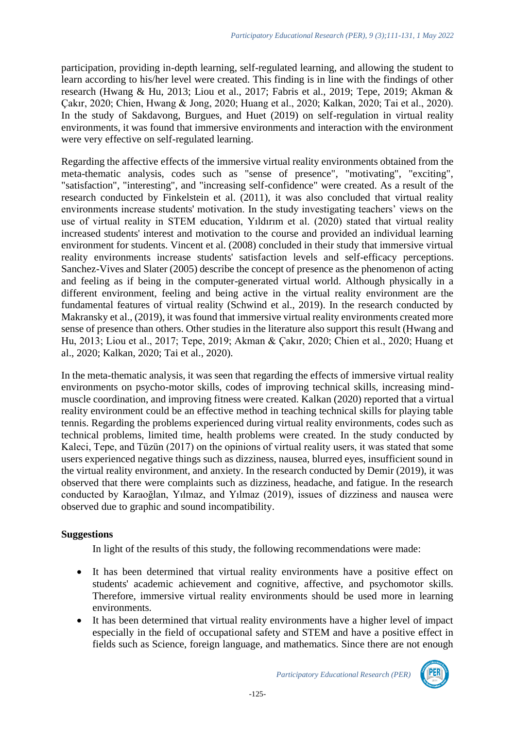participation, providing in-depth learning, self-regulated learning, and allowing the student to learn according to his/her level were created. This finding is in line with the findings of other research (Hwang & Hu, 2013; Liou et al., 2017; Fabris et al., 2019; Tepe, 2019; Akman & Çakır, 2020; Chien, Hwang & Jong, 2020; Huang et al., 2020; Kalkan, 2020; Tai et al., 2020). In the study of Sakdavong, Burgues, and Huet (2019) on self-regulation in virtual reality environments, it was found that immersive environments and interaction with the environment were very effective on self-regulated learning.

Regarding the affective effects of the immersive virtual reality environments obtained from the meta-thematic analysis, codes such as "sense of presence", "motivating", "exciting", "satisfaction", "interesting", and "increasing self-confidence" were created. As a result of the research conducted by Finkelstein et al. (2011), it was also concluded that virtual reality environments increase students' motivation. In the study investigating teachers' views on the use of virtual reality in STEM education, Yıldırım et al. (2020) stated that virtual reality increased students' interest and motivation to the course and provided an individual learning environment for students. Vincent et al. (2008) concluded in their study that immersive virtual reality environments increase students' satisfaction levels and self-efficacy perceptions. Sanchez-Vives and Slater (2005) describe the concept of presence as the phenomenon of acting and feeling as if being in the computer-generated virtual world. Although physically in a different environment, feeling and being active in the virtual reality environment are the fundamental features of virtual reality (Schwind et al., 2019). In the research conducted by Makransky et al., (2019), it was found that immersive virtual reality environments created more sense of presence than others. Other studies in the literature also support this result (Hwang and Hu, 2013; Liou et al., 2017; Tepe, 2019; Akman & Çakır, 2020; Chien et al., 2020; Huang et al., 2020; Kalkan, 2020; Tai et al., 2020).

In the meta-thematic analysis, it was seen that regarding the effects of immersive virtual reality environments on psycho-motor skills, codes of improving technical skills, increasing mindmuscle coordination, and improving fitness were created. Kalkan (2020) reported that a virtual reality environment could be an effective method in teaching technical skills for playing table tennis. Regarding the problems experienced during virtual reality environments, codes such as technical problems, limited time, health problems were created. In the study conducted by Kaleci, Tepe, and Tüzün (2017) on the opinions of virtual reality users, it was stated that some users experienced negative things such as dizziness, nausea, blurred eyes, insufficient sound in the virtual reality environment, and anxiety. In the research conducted by Demir (2019), it was observed that there were complaints such as dizziness, headache, and fatigue. In the research conducted by Karaoğlan, Yılmaz, and Yılmaz (2019), issues of dizziness and nausea were observed due to graphic and sound incompatibility.

# **Suggestions**

In light of the results of this study, the following recommendations were made:

- It has been determined that virtual reality environments have a positive effect on students' academic achievement and cognitive, affective, and psychomotor skills. Therefore, immersive virtual reality environments should be used more in learning environments.
- It has been determined that virtual reality environments have a higher level of impact especially in the field of occupational safety and STEM and have a positive effect in fields such as Science, foreign language, and mathematics. Since there are not enough

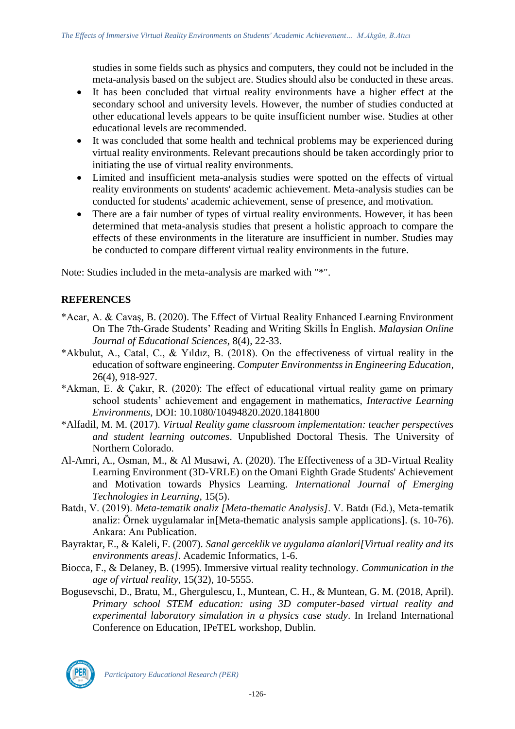studies in some fields such as physics and computers, they could not be included in the meta-analysis based on the subject are. Studies should also be conducted in these areas.

- It has been concluded that virtual reality environments have a higher effect at the secondary school and university levels. However, the number of studies conducted at other educational levels appears to be quite insufficient number wise. Studies at other educational levels are recommended.
- It was concluded that some health and technical problems may be experienced during virtual reality environments. Relevant precautions should be taken accordingly prior to initiating the use of virtual reality environments.
- Limited and insufficient meta-analysis studies were spotted on the effects of virtual reality environments on students' academic achievement. Meta-analysis studies can be conducted for students' academic achievement, sense of presence, and motivation.
- There are a fair number of types of virtual reality environments. However, it has been determined that meta-analysis studies that present a holistic approach to compare the effects of these environments in the literature are insufficient in number. Studies may be conducted to compare different virtual reality environments in the future.

Note: Studies included in the meta-analysis are marked with "\*".

# **REFERENCES**

- \*Acar, A. & Cavaş, B. (2020). The Effect of Virtual Reality Enhanced Learning Environment On The 7th-Grade Students' Reading and Writing Skills İn English*. Malaysian Online Journal of Educational Sciences*, 8(4), 22-33.
- \*Akbulut, A., Catal, C., & Yıldız, B. (2018). On the effectiveness of virtual reality in the education of software engineering. *Computer Environmentss in Engineering Education*, 26(4), 918-927.
- \*Akman, E. & Çakır, R. (2020): The effect of educational virtual reality game on primary school students' achievement and engagement in mathematics, *Interactive Learning Environments*, DOI: 10.1080/10494820.2020.1841800
- \*Alfadil, M. M. (2017). *Virtual Reality game classroom implementation: teacher perspectives and student learning outcomes*. Unpublished Doctoral Thesis. The University of Northern Colorado.
- Al-Amri, A., Osman, M., & Al Musawi, A. (2020). The Effectiveness of a 3D-Virtual Reality Learning Environment (3D-VRLE) on the Omani Eighth Grade Students' Achievement and Motivation towards Physics Learning. *International Journal of Emerging Technologies in Learning*, 15(5).
- Batdı, V. (2019). *Meta-tematik analiz [Meta-thematic Analysis]*. V. Batdı (Ed.), Meta-tematik analiz: Örnek uygulamalar in[Meta-thematic analysis sample applications]. (s. 10-76). Ankara: Anı Publication.
- Bayraktar, E., & Kaleli, F. (2007). *Sanal gerceklik ve uygulama alanlari[Virtual reality and its environments areas]*. Academic Informatics, 1-6.
- Biocca, F., & Delaney, B. (1995). Immersive virtual reality technology. *Communication in the age of virtual reality*, 15(32), 10-5555.
- Bogusevschi, D., Bratu, M., Ghergulescu, I., Muntean, C. H., & Muntean, G. M. (2018, April). *Primary school STEM education: using 3D computer-based virtual reality and experimental laboratory simulation in a physics case study*. In Ireland International Conference on Education, IPeTEL workshop, Dublin.

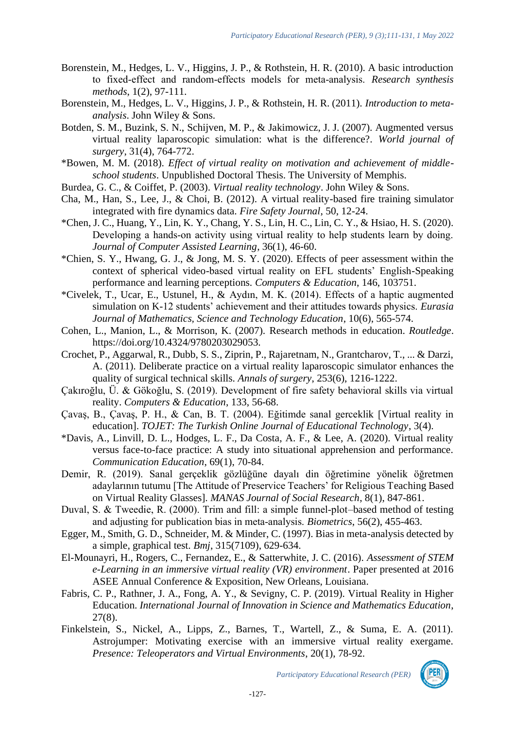- Borenstein, M., Hedges, L. V., Higgins, J. P., & Rothstein, H. R. (2010). A basic introduction to fixed‐effect and random‐effects models for meta‐analysis. *Research synthesis methods*, 1(2), 97-111.
- Borenstein, M., Hedges, L. V., Higgins, J. P., & Rothstein, H. R. (2011). *Introduction to metaanalysis*. John Wiley & Sons.
- Botden, S. M., Buzink, S. N., Schijven, M. P., & Jakimowicz, J. J. (2007). Augmented versus virtual reality laparoscopic simulation: what is the difference?. *World journal of surgery*, 31(4), 764-772.
- \*Bowen, M. M. (2018). *Effect of virtual reality on motivation and achievement of middleschool students*. Unpublished Doctoral Thesis. The University of Memphis.
- Burdea, G. C., & Coiffet, P. (2003). *Virtual reality technology*. John Wiley & Sons.
- Cha, M., Han, S., Lee, J., & Choi, B. (2012). A virtual reality-based fire training simulator integrated with fire dynamics data. *Fire Safety Journal*, 50, 12-24.
- \*Chen, J. C., Huang, Y., Lin, K. Y., Chang, Y. S., Lin, H. C., Lin, C. Y., & Hsiao, H. S. (2020). Developing a hands-on activity using virtual reality to help students learn by doing. *Journal of Computer Assisted Learning*, 36(1), 46-60.
- \*Chien, S. Y., Hwang, G. J., & Jong, M. S. Y. (2020). Effects of peer assessment within the context of spherical video-based virtual reality on EFL students' English-Speaking performance and learning perceptions. *Computers & Education*, 146, 103751.
- \*Civelek, T., Ucar, E., Ustunel, H., & Aydın, M. K. (2014). Effects of a haptic augmented simulation on K-12 students' achievement and their attitudes towards physics. *Eurasia Journal of Mathematics, Science and Technology Education*, 10(6), 565-574.
- Cohen, L., Manion, L., & Morrison, K. (2007). Research methods in education. *Routledge*. https://doi.org/10.4324/9780203029053.
- Crochet, P., Aggarwal, R., Dubb, S. S., Ziprin, P., Rajaretnam, N., Grantcharov, T., ... & Darzi, A. (2011). Deliberate practice on a virtual reality laparoscopic simulator enhances the quality of surgical technical skills. *Annals of surgery*, 253(6), 1216-1222.
- Çakıroğlu, Ü. & Gökoğlu, S. (2019). Development of fire safety behavioral skills via virtual reality. *Computers & Education*, 133, 56-68.
- Çavaş, B., Çavaş, P. H., & Can, B. T. (2004). Eğitimde sanal gerceklik [Virtual reality in education]. *TOJET: The Turkish Online Journal of Educational Technology*, 3(4).
- \*Davis, A., Linvill, D. L., Hodges, L. F., Da Costa, A. F., & Lee, A. (2020). Virtual reality versus face-to-face practice: A study into situational apprehension and performance. *Communication Education*, 69(1), 70-84.
- Demir, R. (2019). Sanal gerçeklik gözlüğüne dayalı din öğretimine yönelik öğretmen adaylarının tutumu [The Attitude of Preservice Teachers' for Religious Teaching Based on Virtual Reality Glasses]. *MANAS Journal of Social Research*, 8(1), 847-861.
- Duval, S. & Tweedie, R. (2000). Trim and fill: a simple funnel‐plot–based method of testing and adjusting for publication bias in meta‐analysis. *Biometrics*, 56(2), 455-463.
- Egger, M., Smith, G. D., Schneider, M. & Minder, C. (1997). Bias in meta-analysis detected by a simple, graphical test. *Bmj*, 315(7109), 629-634.
- El-Mounayri, H., Rogers, C., Fernandez, E., & Satterwhite, J. C. (2016). *Assessment of STEM e-Learning in an immersive virtual reality (VR) environment*. Paper presented at 2016 ASEE Annual Conference & Exposition, New Orleans, Louisiana.
- Fabris, C. P., Rathner, J. A., Fong, A. Y., & Sevigny, C. P. (2019). Virtual Reality in Higher Education. *International Journal of Innovation in Science and Mathematics Education*, 27(8).
- Finkelstein, S., Nickel, A., Lipps, Z., Barnes, T., Wartell, Z., & Suma, E. A. (2011). Astrojumper: Motivating exercise with an immersive virtual reality exergame. *Presence: Teleoperators and Virtual Environments*, 20(1), 78-92.

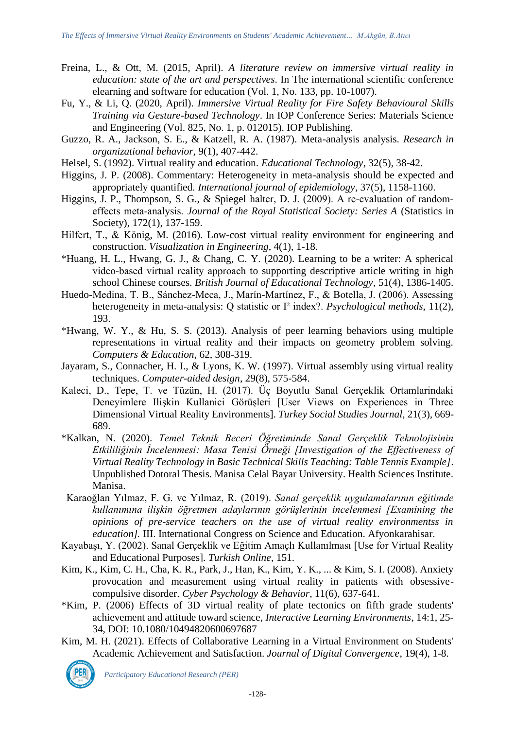- Freina, L., & Ott, M. (2015, April). *A literature review on immersive virtual reality in education: state of the art and perspectives*. In The international scientific conference elearning and software for education (Vol. 1, No. 133, pp. 10-1007).
- Fu, Y., & Li, Q. (2020, April). *Immersive Virtual Reality for Fire Safety Behavioural Skills Training via Gesture-based Technology*. In IOP Conference Series: Materials Science and Engineering (Vol. 825, No. 1, p. 012015). IOP Publishing.
- Guzzo, R. A., Jackson, S. E., & Katzell, R. A. (1987). Meta-analysis analysis. *Research in organizational behavior*, 9(1), 407-442.
- Helsel, S. (1992). Virtual reality and education. *Educational Technology*, 32(5), 38-42.
- Higgins, J. P. (2008). Commentary: Heterogeneity in meta-analysis should be expected and appropriately quantified. *International journal of epidemiology*, 37(5), 1158-1160.
- Higgins, J. P., Thompson, S. G., & Spiegel halter, D. J. (2009). A re-evaluation of randomeffects meta‐analysis. *Journal of the Royal Statistical Society: Series A* (Statistics in Society), 172(1), 137-159.
- Hilfert, T., & König, M. (2016). Low-cost virtual reality environment for engineering and construction. *Visualization in Engineering*, 4(1), 1-18.
- \*Huang, H. L., Hwang, G. J., & Chang, C. Y. (2020). Learning to be a writer: A spherical video‐based virtual reality approach to supporting descriptive article writing in high school Chinese courses. *British Journal of Educational Technology*, 51(4), 1386-1405.
- Huedo-Medina, T. B., Sánchez-Meca, J., Marín-Martínez, F., & Botella, J. (2006). Assessing heterogeneity in meta-analysis: Q statistic or I² index?. *Psychological methods*, 11(2), 193.
- \*Hwang, W. Y., & Hu, S. S. (2013). Analysis of peer learning behaviors using multiple representations in virtual reality and their impacts on geometry problem solving. *Computers & Education*, 62, 308-319.
- Jayaram, S., Connacher, H. I., & Lyons, K. W. (1997). Virtual assembly using virtual reality techniques. *Computer-aided design*, 29(8), 575-584.
- Kaleci, D., Tepe, T. ve Tüzün, H. (2017). Üç Boyutlu Sanal Gerçeklik Ortamlarindaki Deneyimlere Ilişkin Kullanici Görüşleri [User Views on Experiences in Three Dimensional Virtual Reality Environments]. *Turkey Social Studies Journal,* 21(3), 669- 689.
- \*Kalkan, N. (2020). *Temel Teknik Beceri Öğretiminde Sanal Gerçeklik Teknolojisinin Etkililiğinin İncelenmesi: Masa Tenisi Örneği [Investigation of the Effectiveness of Virtual Reality Technology in Basic Technical Skills Teaching: Table Tennis Example]*. Unpublished Dotoral Thesis. Manisa Celal Bayar University. Health Sciences Institute. Manisa.
- Karaoğlan Yılmaz, F. G. ve Yılmaz, R. (2019). *Sanal gerçeklik uygulamalarının eğitimde kullanımına ilişkin öğretmen adaylarının görüşlerinin incelenmesi [Examining the opinions of pre-service teachers on the use of virtual reality environmentss in education].* III. International Congress on Science and Education. Afyonkarahisar.
- Kayabaşı, Y. (2002). Sanal Gerçeklik ve Eğitim Amaçlı Kullanılması [Use for Virtual Reality and Educational Purposes]. *Turkish Online*, 151.
- Kim, K., Kim, C. H., Cha, K. R., Park, J., Han, K., Kim, Y. K., ... & Kim, S. I. (2008). Anxiety provocation and measurement using virtual reality in patients with obsessivecompulsive disorder. *Cyber Psychology & Behavior*, 11(6), 637-641.
- \*Kim, P. (2006) Effects of 3D virtual reality of plate tectonics on fifth grade students' achievement and attitude toward science, *Interactive Learning Environments*, 14:1, 25- 34, DOI: 10.1080/10494820600697687
- Kim, M. H. (2021). Effects of Collaborative Learning in a Virtual Environment on Students' Academic Achievement and Satisfaction. *Journal of Digital Convergence*, 19(4), 1-8.

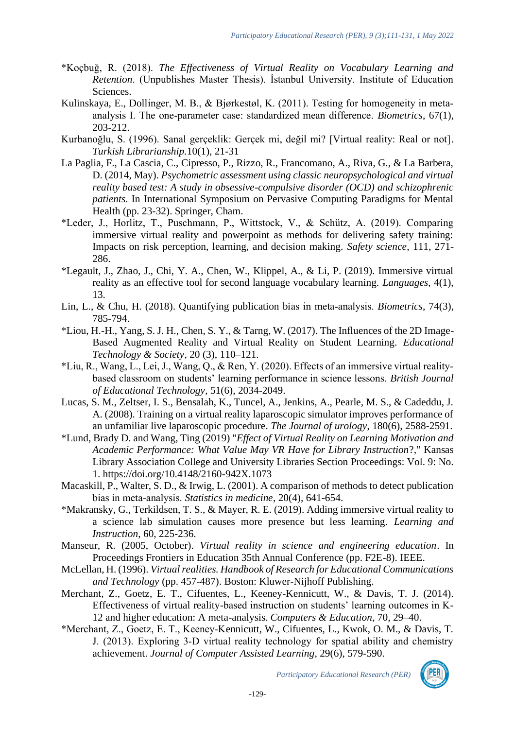- \*Koçbuğ, R. (2018). *The Effectiveness of Virtual Reality on Vocabulary Learning and Retention*. (Unpublishes Master Thesis). İstanbul University. Institute of Education Sciences.
- Kulinskaya, E., Dollinger, M. B., & Bjørkestøl, K. (2011). Testing for homogeneity in meta‐ analysis I. The one‐parameter case: standardized mean difference. *Biometrics*, 67(1), 203-212.
- Kurbanoğlu, S. (1996). Sanal gerçeklik: Gerçek mi, değil mi? [Virtual reality: Real or not]. *Turkish Librarianship.*10(1), 21-31
- La Paglia, F., La Cascia, C., Cipresso, P., Rizzo, R., Francomano, A., Riva, G., & La Barbera, D. (2014, May). *Psychometric assessment using classic neuropsychological and virtual reality based test: A study in obsessive-compulsive disorder (OCD) and schizophrenic patients*. In International Symposium on Pervasive Computing Paradigms for Mental Health (pp. 23-32). Springer, Cham.
- \*Leder, J., Horlitz, T., Puschmann, P., Wittstock, V., & Schütz, A. (2019). Comparing immersive virtual reality and powerpoint as methods for delivering safety training: Impacts on risk perception, learning, and decision making. *Safety science*, 111, 271- 286.
- \*Legault, J., Zhao, J., Chi, Y. A., Chen, W., Klippel, A., & Li, P. (2019). Immersive virtual reality as an effective tool for second language vocabulary learning. *Languages*, 4(1), 13.
- Lin, L., & Chu, H. (2018). Quantifying publication bias in meta‐analysis. *Biometrics*, 74(3), 785-794.
- \*Liou, H.-H., Yang, S. J. H., Chen, S. Y., & Tarng, W. (2017). The Influences of the 2D Image-Based Augmented Reality and Virtual Reality on Student Learning. *Educational Technology & Society*, 20 (3), 110–121.
- \*Liu, R., Wang, L., Lei, J., Wang, Q., & Ren, Y. (2020). Effects of an immersive virtual reality‐ based classroom on students' learning performance in science lessons. *British Journal of Educational Technology*, 51(6), 2034-2049.
- Lucas, S. M., Zeltser, I. S., Bensalah, K., Tuncel, A., Jenkins, A., Pearle, M. S., & Cadeddu, J. A. (2008). Training on a virtual reality laparoscopic simulator improves performance of an unfamiliar live laparoscopic procedure. *The Journal of urology*, 180(6), 2588-2591.
- \*Lund, Brady D. and Wang, Ting (2019) "*Effect of Virtual Reality on Learning Motivation and Academic Performance: What Value May VR Have for Library Instruction*?," Kansas Library Association College and University Libraries Section Proceedings: Vol. 9: No. 1. https://doi.org/10.4148/2160-942X.1073
- Macaskill, P., Walter, S. D., & Irwig, L. (2001). A comparison of methods to detect publication bias in meta‐analysis. *Statistics in medicine*, 20(4), 641-654.
- \*Makransky, G., Terkildsen, T. S., & Mayer, R. E. (2019). Adding immersive virtual reality to a science lab simulation causes more presence but less learning. *Learning and Instruction*, 60, 225-236.
- Manseur, R. (2005, October). *Virtual reality in science and engineering education*. In Proceedings Frontiers in Education 35th Annual Conference (pp. F2E-8). IEEE.
- McLellan, H. (1996). *Virtual realities. Handbook of Research for Educational Communications and Technology* (pp. 457-487). Boston: Kluwer-Nijhoff Publishing.
- Merchant, Z., Goetz, E. T., Cifuentes, L., Keeney-Kennicutt, W., & Davis, T. J. (2014). Effectiveness of virtual reality-based instruction on students' learning outcomes in K-12 and higher education: A meta-analysis. *Computers & Education*, 70, 29–40.
- \*Merchant, Z., Goetz, E. T., Keeney‐Kennicutt, W., Cifuentes, L., Kwok, O. M., & Davis, T. J. (2013). Exploring 3‐D virtual reality technology for spatial ability and chemistry achievement. *Journal of Computer Assisted Learning*, 29(6), 579-590.

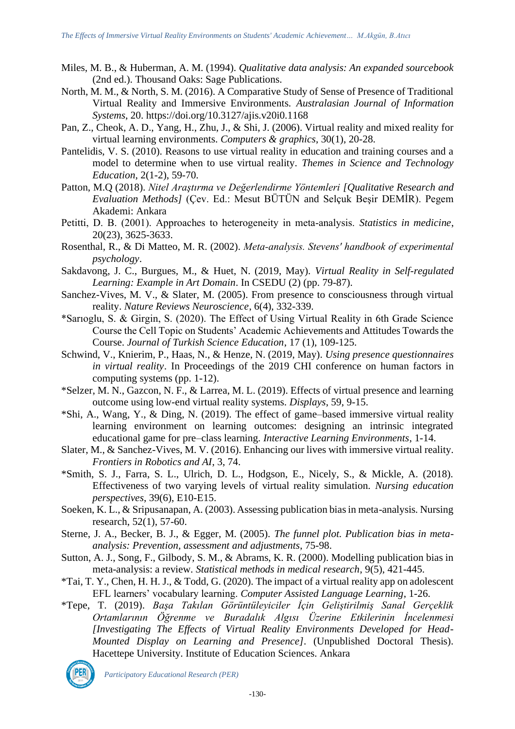- Miles, M. B., & Huberman, A. M. (1994). *Qualitative data analysis: An expanded sourcebook* (2nd ed.). Thousand Oaks: Sage Publications.
- North, M. M., & North, S. M. (2016). A Comparative Study of Sense of Presence of Traditional Virtual Reality and Immersive Environments. *Australasian Journal of Information Systems*, 20. https://doi.org/10.3127/ajis.v20i0.1168
- Pan, Z., Cheok, A. D., Yang, H., Zhu, J., & Shi, J. (2006). Virtual reality and mixed reality for virtual learning environments. *Computers & graphics*, 30(1), 20-28.
- Pantelidis, V. S. (2010). Reasons to use virtual reality in education and training courses and a model to determine when to use virtual reality. *Themes in Science and Technology Education*, 2(1-2), 59-70.
- Patton, M.Q (2018). *Nitel Araştırma ve Değerlendirme Yöntemleri [Qualitative Research and Evaluation Methods]* (Çev. Ed.: Mesut BÜTÜN and Selçuk Beşir DEMİR). Pegem Akademi: Ankara
- Petitti, D. B. (2001). Approaches to heterogeneity in meta‐analysis. *Statistics in medicine*, 20(23), 3625-3633.
- Rosenthal, R., & Di Matteo, M. R. (2002). *Meta‐analysis. Stevens' handbook of experimental psychology*.
- Sakdavong, J. C., Burgues, M., & Huet, N. (2019, May). *Virtual Reality in Self-regulated Learning: Example in Art Domain*. In CSEDU (2) (pp. 79-87).
- Sanchez-Vives, M. V., & Slater, M. (2005). From presence to consciousness through virtual reality. *Nature Reviews Neuroscience*, 6(4), 332-339.
- \*Sarıoglu, S. & Girgin, S. (2020). The Effect of Using Virtual Reality in 6th Grade Science Course the Cell Topic on Students' Academic Achievements and Attitudes Towards the Course. *Journal of Turkish Science Education*, 17 (1), 109-125.
- Schwind, V., Knierim, P., Haas, N., & Henze, N. (2019, May). *Using presence questionnaires in virtual reality*. In Proceedings of the 2019 CHI conference on human factors in computing systems (pp. 1-12).
- \*Selzer, M. N., Gazcon, N. F., & Larrea, M. L. (2019). Effects of virtual presence and learning outcome using low-end virtual reality systems. *Displays*, 59, 9-15.
- \*Shi, A., Wang, Y., & Ding, N. (2019). The effect of game–based immersive virtual reality learning environment on learning outcomes: designing an intrinsic integrated educational game for pre–class learning. *Interactive Learning Environments*, 1-14.
- Slater, M., & Sanchez-Vives, M. V. (2016). Enhancing our lives with immersive virtual reality. *Frontiers in Robotics and AI*, 3, 74.
- \*Smith, S. J., Farra, S. L., Ulrich, D. L., Hodgson, E., Nicely, S., & Mickle, A. (2018). Effectiveness of two varying levels of virtual reality simulation. *Nursing education perspectives*, 39(6), E10-E15.
- Soeken, K. L., & Sripusanapan, A. (2003). Assessing publication bias in meta-analysis. Nursing research, 52(1), 57-60.
- Sterne, J. A., Becker, B. J., & Egger, M. (2005). *The funnel plot. Publication bias in metaanalysis: Prevention, assessment and adjustments*, 75-98.
- Sutton, A. J., Song, F., Gilbody, S. M., & Abrams, K. R. (2000). Modelling publication bias in meta-analysis: a review. *Statistical methods in medical research*, 9(5), 421-445.
- \*Tai, T. Y., Chen, H. H. J., & Todd, G. (2020). The impact of a virtual reality app on adolescent EFL learners' vocabulary learning. *Computer Assisted Language Learning*, 1-26.
- \*Tepe, T. (2019). *Başa Takılan Görüntüleyiciler İçin Geliştirilmiş Sanal Gerçeklik Ortamlarının Öğrenme ve Buradalık Algısı Üzerine Etkilerinin İncelenmesi [Investigating The Effects of Virtual Reality Environments Developed for Head-Mounted Display on Learning and Presence]*. (Unpublished Doctoral Thesis). Hacettepe University. Institute of Education Sciences. Ankara